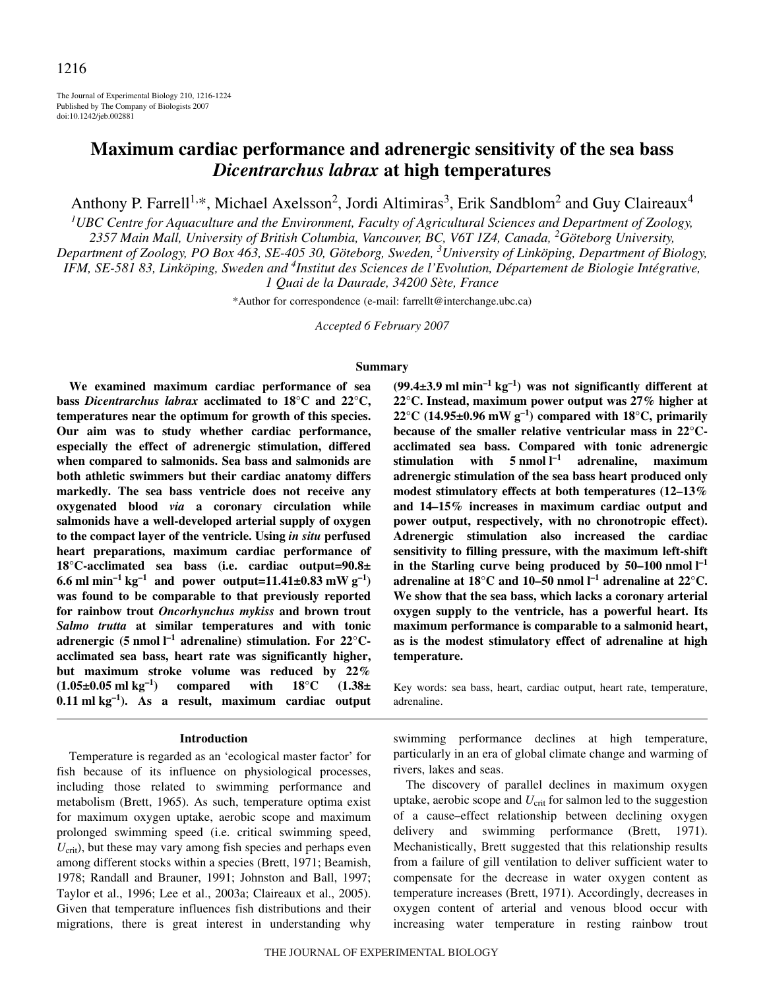The Journal of Experimental Biology 210, 1216-1224 Published by The Company of Biologists 2007 doi:10.1242/jeb.002881

# **Maximum cardiac performance and adrenergic sensitivity of the sea bass** *Dicentrarchus labrax* **at high temperatures**

Anthony P. Farrell<sup>1,\*</sup>, Michael Axelsson<sup>2</sup>, Jordi Altimiras<sup>3</sup>, Erik Sandblom<sup>2</sup> and Guy Claireaux<sup>4</sup>

*1 UBC Centre for Aquaculture and the Environment, Faculty of Agricultural Sciences and Department of Zoology, 2357 Main Mall, University of British Columbia, Vancouver, BC, V6T 1Z4, Canada, <sup>2</sup> Göteborg University, Department of Zoology, PO Box 463, SE-405 30, Göteborg, Sweden, <sup>3</sup> University of Linköping, Department of Biology,* IFM, SE-581 83, Linköping, Sweden and <sup>4</sup>Institut des Sciences de l'Evolution, Département de Biologie Intégrative,

*1 Quai de la Daurade, 34200 Sète, France*

\*Author for correspondence (e-mail: farrellt@interchange.ubc.ca)

*Accepted 6 February 2007*

#### **Summary**

**We examined maximum cardiac performance of sea bass** *Dicentrarchus labrax* **acclimated to 18°C and 22°C, temperatures near the optimum for growth of this species. Our aim was to study whether cardiac performance, especially the effect of adrenergic stimulation, differed when compared to salmonids. Sea bass and salmonids are both athletic swimmers but their cardiac anatomy differs markedly. The sea bass ventricle does not receive any oxygenated blood** *via* **a coronary circulation while salmonids have a well-developed arterial supply of oxygen to the compact layer of the ventricle. Using** *in situ* **perfused heart preparations, maximum cardiac performance of 18°C-acclimated sea bass (i.e. cardiac output=90.8± 6.6** ml min<sup>-1</sup> kg<sup>-1</sup> and power output=11.41±0.83 mW g<sup>-1</sup>) **was found to be comparable to that previously reported for rainbow trout** *Oncorhynchus mykiss* **and brown trout** *Salmo trutta* **at similar temperatures and with tonic** adrenergic (5 nmol  $I^{-1}$  adrenaline) stimulation. For 22°C**acclimated sea bass, heart rate was significantly higher, but maximum stroke volume was reduced by 22%**  $(1.05\pm0.05 \text{ ml kg}^{-1})$  compared with  $18^{\circ}\text{C}$   $(1.38\pm0.05 \text{ ml kg}^{-1})$ **0.11 ml kg<sup>-1</sup>). As a result, maximum cardiac output** 

### **Introduction**

Temperature is regarded as an 'ecological master factor' for fish because of its influence on physiological processes, including those related to swimming performance and metabolism (Brett, 1965). As such, temperature optima exist for maximum oxygen uptake, aerobic scope and maximum prolonged swimming speed (i.e. critical swimming speed,  $U_{\text{crit}}$ ), but these may vary among fish species and perhaps even among different stocks within a species (Brett, 1971; Beamish, 1978; Randall and Brauner, 1991; Johnston and Ball, 1997; Taylor et al., 1996; Lee et al., 2003a; Claireaux et al., 2005). Given that temperature influences fish distributions and their migrations, there is great interest in understanding why  $(99.4\pm3.9 \text{ ml min}^{-1}\text{ kg}^{-1})$  was not significantly different at **22°C. Instead, maximum power output was 27% higher at**  $22^{\circ}$ C (14.95±0.96 mW g<sup>-1</sup>) compared with 18 $^{\circ}$ C, primarily **because of the smaller relative ventricular mass in 22°Cacclimated sea bass. Compared with tonic adrenergic** stimulation with 5 nmol l<sup>-1</sup> adrenaline, maximum **adrenergic stimulation of the sea bass heart produced only modest stimulatory effects at both temperatures (12–13% and 14–15% increases in maximum cardiac output and power output, respectively, with no chronotropic effect). Adrenergic stimulation also increased the cardiac sensitivity to filling pressure, with the maximum left-shift** in the Starling curve being produced by  $50-100$  nmol  $I^{-1}$  $\alpha$  adrenaline at 18°C and 10–50 nmol  $I^{-1}$  adrenaline at 22°C. **We show that the sea bass, which lacks a coronary arterial oxygen supply to the ventricle, has a powerful heart. Its maximum performance is comparable to a salmonid heart, as is the modest stimulatory effect of adrenaline at high temperature.**

Key words: sea bass, heart, cardiac output, heart rate, temperature, adrenaline.

swimming performance declines at high temperature, particularly in an era of global climate change and warming of rivers, lakes and seas.

The discovery of parallel declines in maximum oxygen uptake, aerobic scope and  $U_{\text{crit}}$  for salmon led to the suggestion of a cause–effect relationship between declining oxygen delivery and swimming performance (Brett, 1971). Mechanistically, Brett suggested that this relationship results from a failure of gill ventilation to deliver sufficient water to compensate for the decrease in water oxygen content as temperature increases (Brett, 1971). Accordingly, decreases in oxygen content of arterial and venous blood occur with increasing water temperature in resting rainbow trout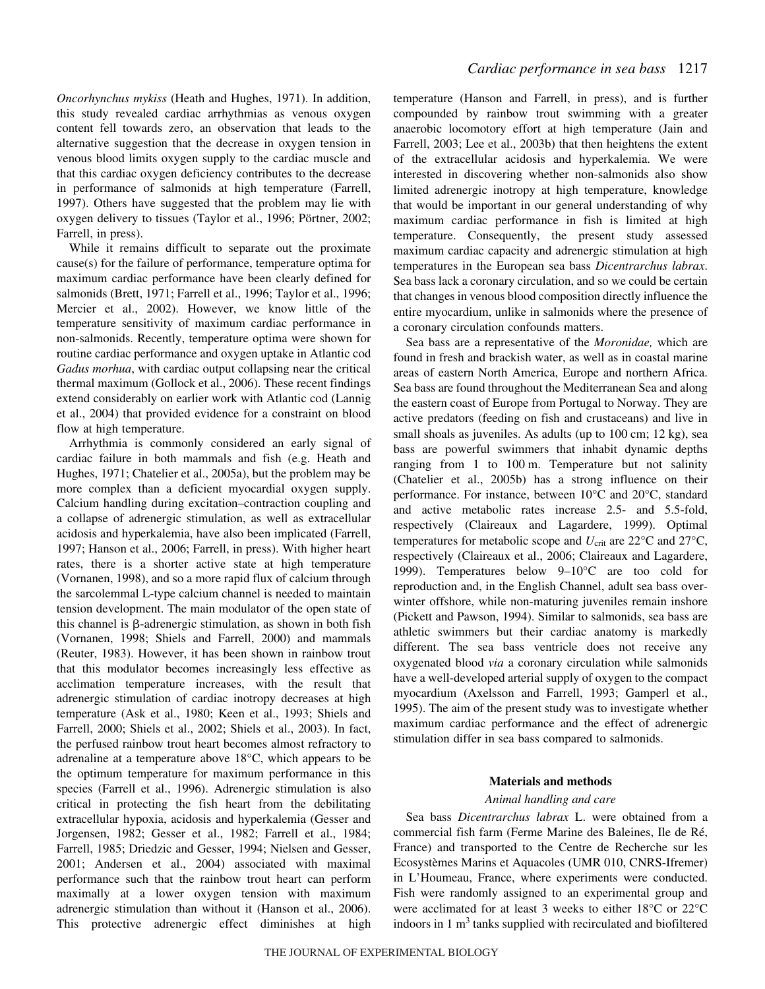*Oncorhynchus mykiss* (Heath and Hughes, 1971). In addition, this study revealed cardiac arrhythmias as venous oxygen content fell towards zero, an observation that leads to the alternative suggestion that the decrease in oxygen tension in venous blood limits oxygen supply to the cardiac muscle and that this cardiac oxygen deficiency contributes to the decrease in performance of salmonids at high temperature (Farrell, 1997). Others have suggested that the problem may lie with oxygen delivery to tissues (Taylor et al., 1996; Pörtner, 2002; Farrell, in press).

While it remains difficult to separate out the proximate cause(s) for the failure of performance, temperature optima for maximum cardiac performance have been clearly defined for salmonids (Brett, 1971; Farrell et al., 1996; Taylor et al., 1996; Mercier et al., 2002). However, we know little of the temperature sensitivity of maximum cardiac performance in non-salmonids. Recently, temperature optima were shown for routine cardiac performance and oxygen uptake in Atlantic cod *Gadus morhua*, with cardiac output collapsing near the critical thermal maximum (Gollock et al., 2006). These recent findings extend considerably on earlier work with Atlantic cod (Lannig et al., 2004) that provided evidence for a constraint on blood flow at high temperature.

Arrhythmia is commonly considered an early signal of cardiac failure in both mammals and fish (e.g. Heath and Hughes, 1971; Chatelier et al., 2005a), but the problem may be more complex than a deficient myocardial oxygen supply. Calcium handling during excitation–contraction coupling and a collapse of adrenergic stimulation, as well as extracellular acidosis and hyperkalemia, have also been implicated (Farrell, 1997; Hanson et al., 2006; Farrell, in press). With higher heart rates, there is a shorter active state at high temperature (Vornanen, 1998), and so a more rapid flux of calcium through the sarcolemmal L-type calcium channel is needed to maintain tension development. The main modulator of the open state of this channel is  $\beta$ -adrenergic stimulation, as shown in both fish (Vornanen, 1998; Shiels and Farrell, 2000) and mammals (Reuter, 1983). However, it has been shown in rainbow trout that this modulator becomes increasingly less effective as acclimation temperature increases, with the result that adrenergic stimulation of cardiac inotropy decreases at high temperature (Ask et al., 1980; Keen et al., 1993; Shiels and Farrell, 2000; Shiels et al., 2002; Shiels et al., 2003). In fact, the perfused rainbow trout heart becomes almost refractory to adrenaline at a temperature above 18°C, which appears to be the optimum temperature for maximum performance in this species (Farrell et al., 1996). Adrenergic stimulation is also critical in protecting the fish heart from the debilitating extracellular hypoxia, acidosis and hyperkalemia (Gesser and Jorgensen, 1982; Gesser et al., 1982; Farrell et al., 1984; Farrell, 1985; Driedzic and Gesser, 1994; Nielsen and Gesser, 2001; Andersen et al., 2004) associated with maximal performance such that the rainbow trout heart can perform maximally at a lower oxygen tension with maximum adrenergic stimulation than without it (Hanson et al., 2006). This protective adrenergic effect diminishes at high

temperature (Hanson and Farrell, in press), and is further compounded by rainbow trout swimming with a greater anaerobic locomotory effort at high temperature (Jain and Farrell, 2003; Lee et al., 2003b) that then heightens the extent of the extracellular acidosis and hyperkalemia. We were interested in discovering whether non-salmonids also show limited adrenergic inotropy at high temperature, knowledge that would be important in our general understanding of why maximum cardiac performance in fish is limited at high temperature. Consequently, the present study assessed maximum cardiac capacity and adrenergic stimulation at high temperatures in the European sea bass *Dicentrarchus labrax*. Sea bass lack a coronary circulation, and so we could be certain that changes in venous blood composition directly influence the entire myocardium, unlike in salmonids where the presence of a coronary circulation confounds matters.

Sea bass are a representative of the *Moronidae,* which are found in fresh and brackish water, as well as in coastal marine areas of eastern North America, Europe and northern Africa. Sea bass are found throughout the Mediterranean Sea and along the eastern coast of Europe from Portugal to Norway. They are active predators (feeding on fish and crustaceans) and live in small shoals as juveniles. As adults (up to 100 cm; 12 kg), sea bass are powerful swimmers that inhabit dynamic depths ranging from  $1$  to  $100 \text{ m}$ . Temperature but not salinity (Chatelier et al., 2005b) has a strong influence on their performance. For instance, between 10°C and 20°C, standard and active metabolic rates increase 2.5- and 5.5-fold, respectively (Claireaux and Lagardere, 1999). Optimal temperatures for metabolic scope and  $U_{\text{crit}}$  are 22<sup>o</sup>C and 27<sup>o</sup>C, respectively (Claireaux et al., 2006; Claireaux and Lagardere, 1999). Temperatures below 9–10°C are too cold for reproduction and, in the English Channel, adult sea bass overwinter offshore, while non-maturing juveniles remain inshore (Pickett and Pawson, 1994). Similar to salmonids, sea bass are athletic swimmers but their cardiac anatomy is markedly different. The sea bass ventricle does not receive any oxygenated blood *via* a coronary circulation while salmonids have a well-developed arterial supply of oxygen to the compact myocardium (Axelsson and Farrell, 1993; Gamperl et al., 1995). The aim of the present study was to investigate whether maximum cardiac performance and the effect of adrenergic stimulation differ in sea bass compared to salmonids.

### **Materials and methods**

#### *Animal handling and care*

Sea bass *Dicentrarchus labrax* L. were obtained from a commercial fish farm (Ferme Marine des Baleines, Ile de Ré, France) and transported to the Centre de Recherche sur les Ecosystèmes Marins et Aquacoles (UMR 010, CNRS-Ifremer) in L'Houmeau, France, where experiments were conducted. Fish were randomly assigned to an experimental group and were acclimated for at least 3 weeks to either 18°C or 22°C indoors in  $1 \text{ m}^3$  tanks supplied with recirculated and biofiltered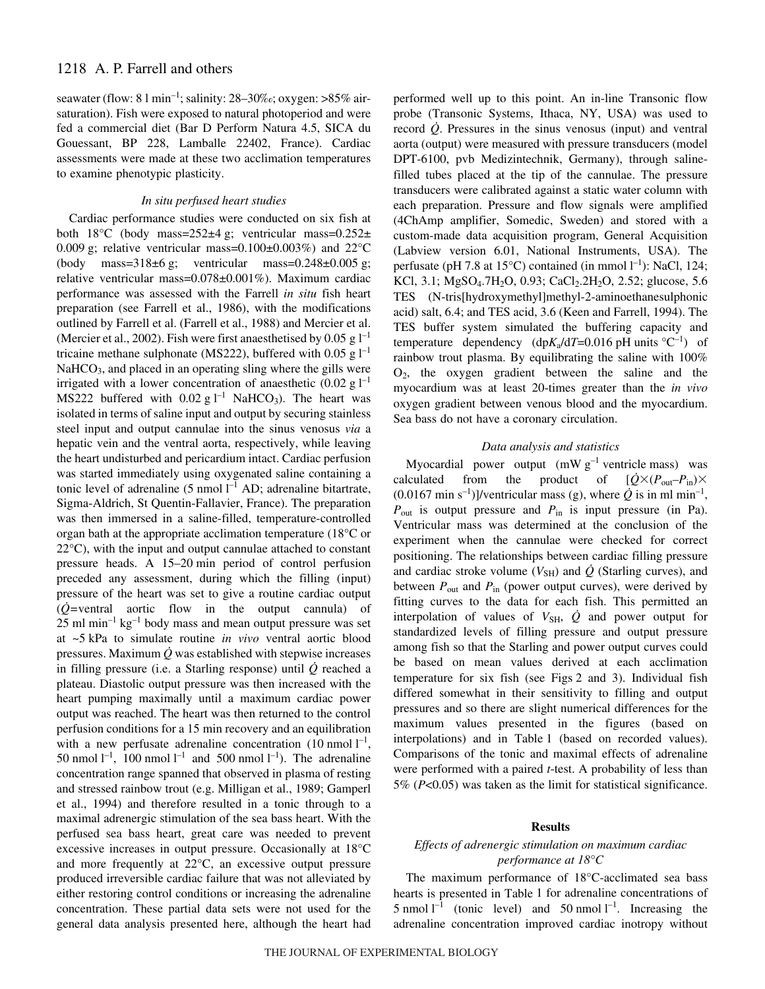# 1218 A. P. Farrell and others

seawater (flow:  $81$  min<sup>-1</sup>; salinity:  $28-30\%$ <sub>e</sub>; oxygen:  $>85\%$  airsaturation). Fish were exposed to natural photoperiod and were fed a commercial diet (Bar D Perform Natura 4.5, SICA du Gouessant, BP 228, Lamballe 22402, France). Cardiac assessments were made at these two acclimation temperatures to examine phenotypic plasticity.

### *In situ perfused heart studies*

Cardiac performance studies were conducted on six fish at both  $18^{\circ}$ C (body mass= $252\pm 4$  g; ventricular mass=0.252 $\pm$ 0.009 g; relative ventricular mass=0.100 $\pm$ 0.003%) and 22 $^{\circ}$ C (body mass= $318\pm6$  g; ventricular mass= $0.248\pm0.005$  g; relative ventricular mass=0.078±0.001%). Maximum cardiac performance was assessed with the Farrell *in situ* fish heart preparation (see Farrell et al., 1986), with the modifications outlined by Farrell et al. (Farrell et al., 1988) and Mercier et al. (Mercier et al., 2002). Fish were first anaesthetised by 0.05 g  $1^{-1}$ tricaine methane sulphonate (MS222), buffered with 0.05 g  $l^{-1}$  $NaHCO<sub>3</sub>$ , and placed in an operating sling where the gills were irrigated with a lower concentration of anaesthetic  $(0.02 \text{ g } l^{-1})$ MS222 buffered with  $0.02$  g l<sup>-1</sup> NaHCO<sub>3</sub>). The heart was isolated in terms of saline input and output by securing stainless steel input and output cannulae into the sinus venosus *via* a hepatic vein and the ventral aorta, respectively, while leaving the heart undisturbed and pericardium intact. Cardiac perfusion was started immediately using oxygenated saline containing a tonic level of adrenaline  $(5 \text{ nmol } l^{-1}$  AD; adrenaline bitartrate, Sigma-Aldrich, St Quentin-Fallavier, France). The preparation was then immersed in a saline-filled, temperature-controlled organ bath at the appropriate acclimation temperature (18°C or 22°C), with the input and output cannulae attached to constant pressure heads. A 15–20 min period of control perfusion preceded any assessment, during which the filling (input) pressure of the heart was set to give a routine cardiac output  $(\dot{Q}$ =ventral aortic flow in the output cannula) of  $25$  ml min<sup>-1</sup> kg<sup>-1</sup> body mass and mean output pressure was set at ~5·kPa to simulate routine *in vivo* ventral aortic blood pressures. Maximum  $\dot{Q}$  was established with stepwise increases in filling pressure (i.e. a Starling response) until  $\dot{O}$  reached a plateau. Diastolic output pressure was then increased with the heart pumping maximally until a maximum cardiac power output was reached. The heart was then returned to the control perfusion conditions for a 15 min recovery and an equilibration with a new perfusate adrenaline concentration  $(10 \text{ nmol } l^{-1})$ , 50 nmol  $l^{-1}$ , 100 nmol  $l^{-1}$  and 500 nmol  $l^{-1}$ ). The adrenaline concentration range spanned that observed in plasma of resting and stressed rainbow trout (e.g. Milligan et al., 1989; Gamperl et al., 1994) and therefore resulted in a tonic through to a maximal adrenergic stimulation of the sea bass heart. With the perfused sea bass heart, great care was needed to prevent excessive increases in output pressure. Occasionally at 18°C and more frequently at 22°C, an excessive output pressure produced irreversible cardiac failure that was not alleviated by either restoring control conditions or increasing the adrenaline concentration. These partial data sets were not used for the general data analysis presented here, although the heart had performed well up to this point. An in-line Transonic flow probe (Transonic Systems, Ithaca, NY, USA) was used to record *Q*. Pressures in the sinus venosus (input) and ventral aorta (output) were measured with pressure transducers (model DPT-6100, pvb Medizintechnik, Germany), through salinefilled tubes placed at the tip of the cannulae. The pressure transducers were calibrated against a static water column with each preparation. Pressure and flow signals were amplified (4ChAmp amplifier, Somedic, Sweden) and stored with a custom-made data acquisition program, General Acquisition (Labview version 6.01, National Instruments, USA). The perfusate (pH 7.8 at  $15^{\circ}$ C) contained (in mmol  $1^{-1}$ ): NaCl, 124; KCl, 3.1; MgSO<sub>4</sub>.7H<sub>2</sub>O, 0.93; CaCl<sub>2</sub>.2H<sub>2</sub>O, 2.52; glucose, 5.6 TES (N-tris[hydroxymethyl]methyl-2-aminoethanesulphonic acid) salt, 6.4; and TES acid, 3.6 (Keen and Farrell, 1994). The TES buffer system simulated the buffering capacity and temperature dependency (dp*K*<sub>a</sub>/d*T*=0.016 pH units  ${}^{\circ}C^{-1}$ ) of rainbow trout plasma. By equilibrating the saline with 100%  $O<sub>2</sub>$ , the oxygen gradient between the saline and the myocardium was at least 20-times greater than the *in vivo* oxygen gradient between venous blood and the myocardium. Sea bass do not have a coronary circulation.

### *Data analysis and statistics*

Myocardial power output  $(mWg^{-1}$  ventricle mass) was calculated from the product of  $[\dot{Q} \times (P_{out} - P_{in}) \times$  $(0.0167 \text{ min s}^{-1})$ ]/ventricular mass (g), where  $\dot{Q}$  is in ml min<sup>-1</sup>, *P*out is output pressure and *P*in is input pressure (in Pa). Ventricular mass was determined at the conclusion of the experiment when the cannulae were checked for correct positioning. The relationships between cardiac filling pressure and cardiac stroke volume  $(V_{SH})$  and  $\dot{Q}$  (Starling curves), and between  $P_{\text{out}}$  and  $P_{\text{in}}$  (power output curves), were derived by fitting curves to the data for each fish. This permitted an interpolation of values of  $V_{\text{SH}}$ ,  $\dot{Q}$  and power output for standardized levels of filling pressure and output pressure among fish so that the Starling and power output curves could be based on mean values derived at each acclimation temperature for six fish (see Figs 2 and 3). Individual fish differed somewhat in their sensitivity to filling and output pressures and so there are slight numerical differences for the maximum values presented in the figures (based on interpolations) and in Table 1 (based on recorded values). Comparisons of the tonic and maximal effects of adrenaline were performed with a paired *t*-test. A probability of less than 5% (*P*<0.05) was taken as the limit for statistical significance.

#### **Results**

# *Effects of adrenergic stimulation on maximum cardiac performance at 18°C*

The maximum performance of 18°C-acclimated sea bass hearts is presented in Table 1 for adrenaline concentrations of 5 nmol  $l^{-1}$  (tonic level) and 50 nmol  $l^{-1}$ . Increasing the adrenaline concentration improved cardiac inotropy without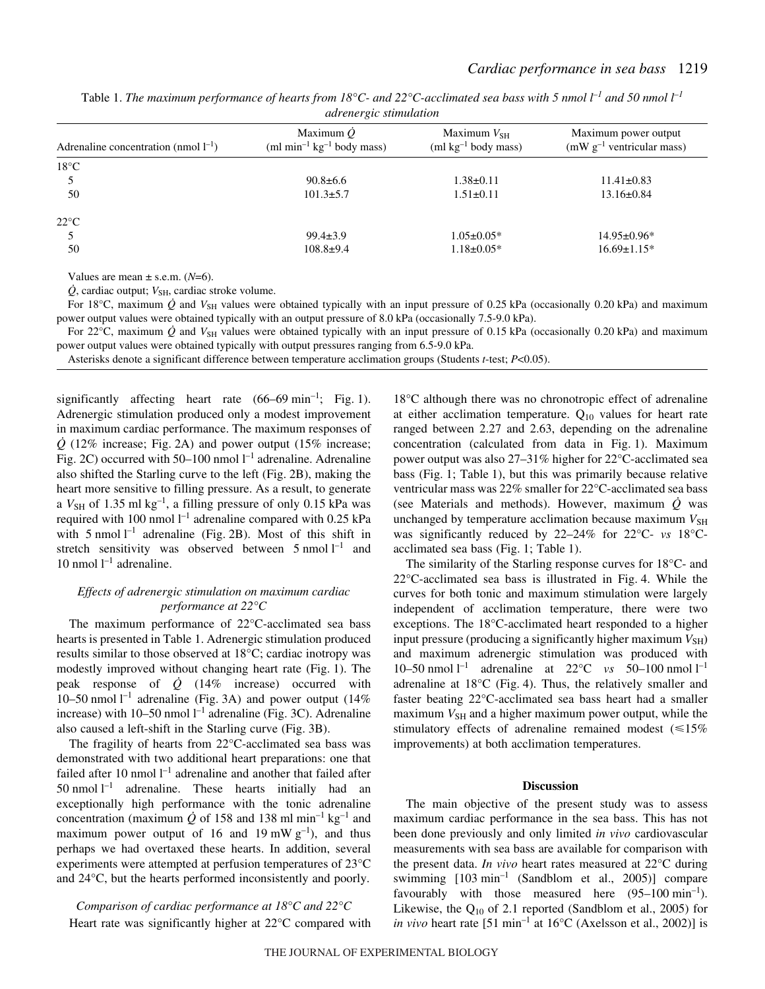| <i>aarenergic summanon</i>                |                                                                        |                                           |                                                        |
|-------------------------------------------|------------------------------------------------------------------------|-------------------------------------------|--------------------------------------------------------|
| Adrenaline concentration (nmol $l^{-1}$ ) | Maximum $\dot{O}$<br>(ml min <sup>-1</sup> $\text{kg}^{-1}$ body mass) | Maximum $V_{SH}$<br>$(ml kg-1 body mass)$ | Maximum power output<br>$(mW g^{-1}$ ventricular mass) |
| $18^{\circ}$ C                            |                                                                        |                                           |                                                        |
|                                           | $90.8 \pm 6.6$                                                         | $1.38 \pm 0.11$                           | $11.41 \pm 0.83$                                       |
| 50                                        | $101.3 \pm 5.7$                                                        | $1.51 \pm 0.11$                           | $13.16 \pm 0.84$                                       |
| $22^{\circ}C$                             |                                                                        |                                           |                                                        |
|                                           | $99.4 \pm 3.9$                                                         | $1.05 \pm 0.05*$                          | $14.95 \pm 0.96*$                                      |
| 50                                        | $108.8+9.4$                                                            | $1.18 \pm 0.05*$                          | $16.69 \pm 1.15*$                                      |

Table 1. The maximum performance of hearts from 18°C- and 22°C-acclimated sea bass with 5 nmol  $l^{-1}$  and 50 nmol  $l^{-1}$ *adrenergic stimulation*

Values are mean  $\pm$  s.e.m. ( $N=6$ ).

 $\dot{Q}$ , cardiac output;  $V_{\text{SH}}$ , cardiac stroke volume.

For 18°C, maximum  $\dot{Q}$  and  $V_{SH}$  values were obtained typically with an input pressure of 0.25 kPa (occasionally 0.20 kPa) and maximum power output values were obtained typically with an output pressure of 8.0 kPa (occasionally 7.5-9.0 kPa).

For 22 $^{\circ}$ C, maximum  $\dot{Q}$  and  $V_{SH}$  values were obtained typically with an input pressure of 0.15 kPa (occasionally 0.20 kPa) and maximum power output values were obtained typically with output pressures ranging from 6.5-9.0 kPa.

Asterisks denote a significant difference between temperature acclimation groups (Students *t*-test; *P*<0.05).

significantly affecting heart rate  $(66–69 \text{ min}^{-1})$ ; Fig. 1). Adrenergic stimulation produced only a modest improvement in maximum cardiac performance. The maximum responses of  $\dot{Q}$  (12% increase; Fig. 2A) and power output (15% increase; Fig. 2C) occurred with  $50-100$  nmol  $l^{-1}$  adrenaline. Adrenaline also shifted the Starling curve to the left (Fig. 2B), making the heart more sensitive to filling pressure. As a result, to generate a  $V_{\text{SH}}$  of 1.35 ml kg<sup>-1</sup>, a filling pressure of only 0.15 kPa was required with 100 nmol  $l^{-1}$  adrenaline compared with 0.25 kPa with 5 nmol  $l^{-1}$  adrenaline (Fig. 2B). Most of this shift in stretch sensitivity was observed between  $5 \text{ nmol } l^{-1}$  and 10 nmol  $l^{-1}$  adrenaline.

# *Effects of adrenergic stimulation on maximum cardiac performance at 22°C*

The maximum performance of 22°C-acclimated sea bass hearts is presented in Table 1. Adrenergic stimulation produced results similar to those observed at 18°C; cardiac inotropy was modestly improved without changing heart rate (Fig. 1). The peak response of  $\dot{Q}$  (14% increase) occurred with 10–50 nmol  $l^{-1}$  adrenaline (Fig. 3A) and power output (14%) increase) with 10–50 nmol  $l^{-1}$  adrenaline (Fig. 3C). Adrenaline also caused a left-shift in the Starling curve (Fig. 3B).

The fragility of hearts from 22°C-acclimated sea bass was demonstrated with two additional heart preparations: one that failed after 10 nmol  $l^{-1}$  adrenaline and another that failed after  $50$  nmol  $l^{-1}$  adrenaline. These hearts initially had an exceptionally high performance with the tonic adrenaline concentration (maximum  $\dot{Q}$  of 158 and 138 ml min<sup>-1</sup> kg<sup>-1</sup> and maximum power output of 16 and 19 mW  $g^{-1}$ ), and thus perhaps we had overtaxed these hearts. In addition, several experiments were attempted at perfusion temperatures of 23°C and 24°C, but the hearts performed inconsistently and poorly.

*Comparison of cardiac performance at 18°C and 22°C* Heart rate was significantly higher at 22°C compared with

18°C although there was no chronotropic effect of adrenaline at either acclimation temperature.  $Q_{10}$  values for heart rate ranged between 2.27 and 2.63, depending on the adrenaline concentration (calculated from data in Fig. 1). Maximum power output was also 27–31% higher for 22°C-acclimated sea bass (Fig. 1; Table 1), but this was primarily because relative ventricular mass was 22% smaller for 22°C-acclimated sea bass (see Materials and methods). However, maximum  $\dot{O}$  was unchanged by temperature acclimation because maximum  $V_{\rm SH}$ was significantly reduced by 22–24% for 22°C- *vs* 18°Cacclimated sea bass (Fig. 1; Table 1).

The similarity of the Starling response curves for 18°C- and  $22^{\circ}$ C-acclimated sea bass is illustrated in Fig. 4. While the curves for both tonic and maximum stimulation were largely independent of acclimation temperature, there were two exceptions. The 18°C-acclimated heart responded to a higher input pressure (producing a significantly higher maximum  $V_{\text{SH}}$ ) and maximum adrenergic stimulation was produced with 10–50 nmol  $l^{-1}$  adrenaline at 22°C *vs* 50–100 nmol  $l^{-1}$ adrenaline at  $18^{\circ}$ C (Fig. 4). Thus, the relatively smaller and faster beating 22°C-acclimated sea bass heart had a smaller maximum  $V_{\text{SH}}$  and a higher maximum power output, while the stimulatory effects of adrenaline remained modest  $(\leq 15\%$ improvements) at both acclimation temperatures.

### **Discussion**

The main objective of the present study was to assess maximum cardiac performance in the sea bass. This has not been done previously and only limited *in vivo* cardiovascular measurements with sea bass are available for comparison with the present data. *In vivo* heart rates measured at 22°C during swimming  $[103 min^{-1}$  (Sandblom et al., 2005)] compare favourably with those measured here  $(95-100 \text{ min}^{-1})$ . Likewise, the  $Q_{10}$  of 2.1 reported (Sandblom et al., 2005) for *in vivo* heart rate  $[51 \text{ min}^{-1}$  at  $16^{\circ}$ C (Axelsson et al., 2002)] is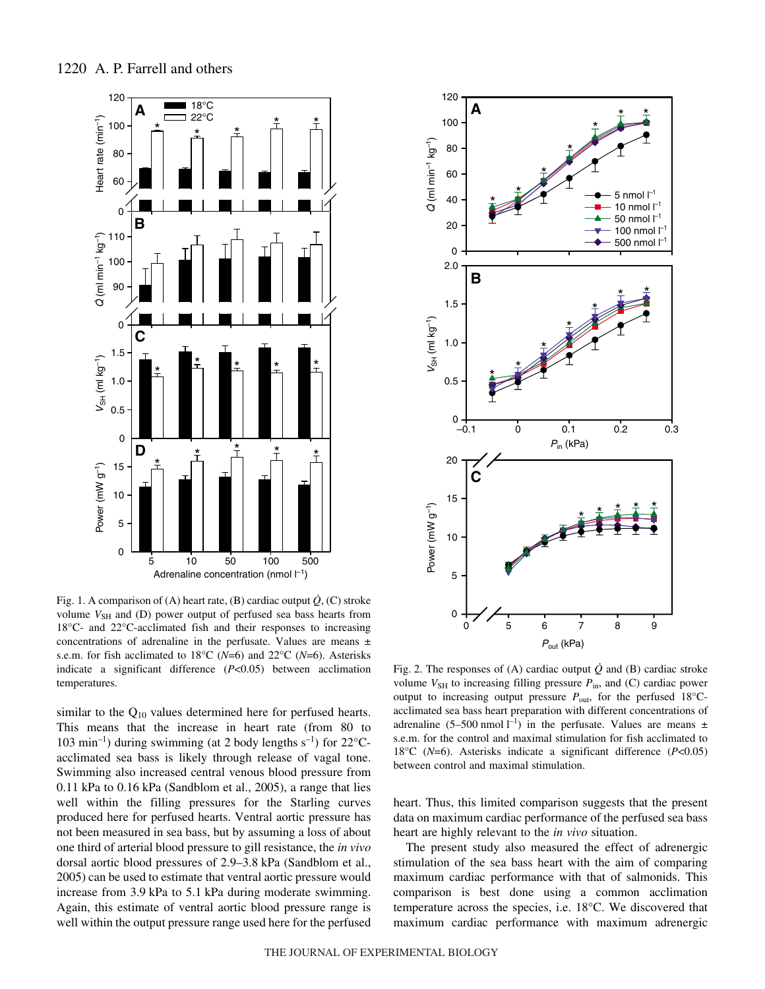

Fig. 1. A comparison of (A) heart rate, (B) cardiac output  $\dot{Q}$ , (C) stroke volume  $V_{\text{SH}}$  and (D) power output of perfused sea bass hearts from 18°C- and 22°C-acclimated fish and their responses to increasing concentrations of adrenaline in the perfusate. Values are means ± s.e.m. for fish acclimated to 18°C (*N*=6) and 22°C (*N*=6). Asterisks indicate a significant difference (*P*<0.05) between acclimation temperatures.

similar to the  $Q_{10}$  values determined here for perfused hearts. This means that the increase in heart rate (from 80 to 103 min<sup>-1</sup>) during swimming (at 2 body lengths  $s^{-1}$ ) for 22°Cacclimated sea bass is likely through release of vagal tone. Swimming also increased central venous blood pressure from  $0.11$  kPa to  $0.16$  kPa (Sandblom et al., 2005), a range that lies well within the filling pressures for the Starling curves produced here for perfused hearts. Ventral aortic pressure has not been measured in sea bass, but by assuming a loss of about one third of arterial blood pressure to gill resistance, the *in vivo* dorsal aortic blood pressures of 2.9–3.8 kPa (Sandblom et al., 2005) can be used to estimate that ventral aortic pressure would increase from 3.9 kPa to 5.1 kPa during moderate swimming. Again, this estimate of ventral aortic blood pressure range is well within the output pressure range used here for the perfused



Fig. 2. The responses of (A) cardiac output  $\dot{Q}$  and (B) cardiac stroke volume  $V_{\text{SH}}$  to increasing filling pressure  $P_{\text{in}}$ , and (C) cardiac power output to increasing output pressure  $P_{\text{out}}$ , for the perfused 18°Cacclimated sea bass heart preparation with different concentrations of adrenaline (5–500 nmol  $l^{-1}$ ) in the perfusate. Values are means  $\pm$ s.e.m. for the control and maximal stimulation for fish acclimated to 18°C (*N*=6). Asterisks indicate a significant difference (*P*<0.05) between control and maximal stimulation.

heart. Thus, this limited comparison suggests that the present data on maximum cardiac performance of the perfused sea bass heart are highly relevant to the *in vivo* situation.

The present study also measured the effect of adrenergic stimulation of the sea bass heart with the aim of comparing maximum cardiac performance with that of salmonids. This comparison is best done using a common acclimation temperature across the species, i.e. 18°C. We discovered that maximum cardiac performance with maximum adrenergic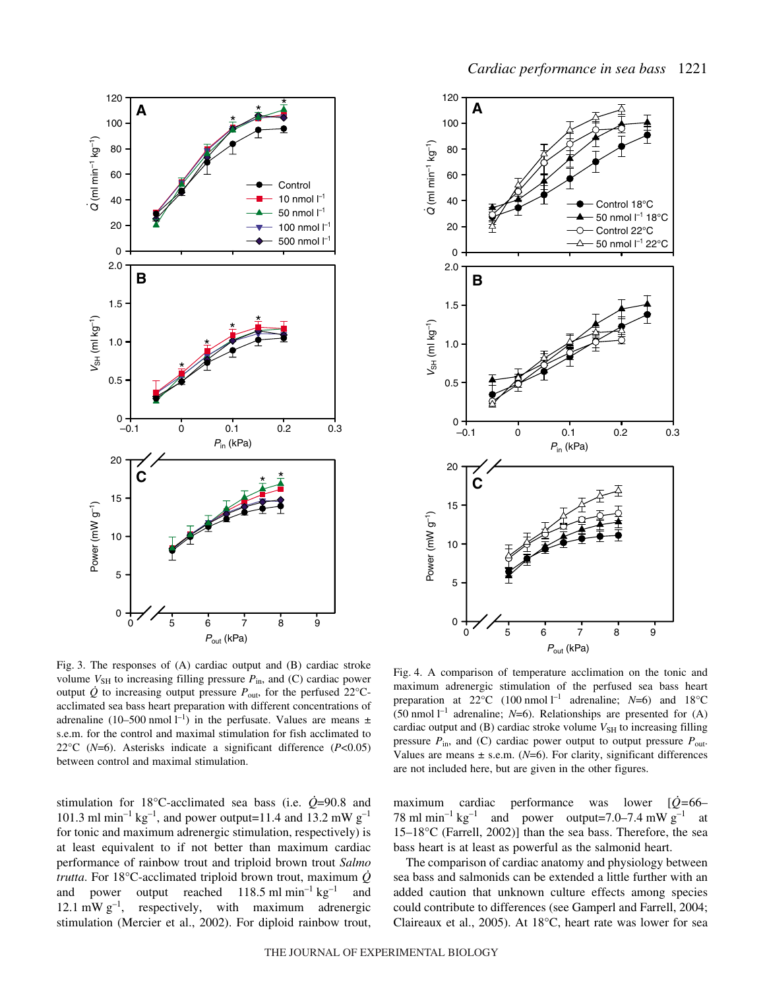



Fig. 3. The responses of  $(A)$  cardiac output and  $(B)$  cardiac stroke volume  $V_{SH}$  to increasing filling pressure  $P_{in}$ , and (C) cardiac power output  $\dot{Q}$  to increasing output pressure  $P_{\text{out}}$ , for the perfused 22°Cacclimated sea bass heart preparation with different concentrations of adrenaline (10–500 nmol  $l^{-1}$ ) in the perfusate. Values are means  $\pm$ s.e.m. for the control and maximal stimulation for fish acclimated to 22°C (*N*=6). Asterisks indicate a significant difference (*P*<0.05) between control and maximal stimulation.

stimulation for 18°C-acclimated sea bass (i.e.  $\dot{Q}$ =90.8 and 101.3 ml min<sup>-1</sup> kg<sup>-1</sup>, and power output=11.4 and 13.2 mW g<sup>-1</sup> for tonic and maximum adrenergic stimulation, respectively) is at least equivalent to if not better than maximum cardiac performance of rainbow trout and triploid brown trout *Salmo trutta*. For 18°C-acclimated triploid brown trout, maximum *Q* and power output reached  $118.5 \text{ ml min}^{-1} \text{ kg}^{-1}$  and 12.1 mW  $g^{-1}$ , respectively, with maximum adrenergic stimulation (Mercier et al., 2002). For diploid rainbow trout,

Fig. 4. A comparison of temperature acclimation on the tonic and maximum adrenergic stimulation of the perfused sea bass heart preparation at  $22^{\circ}$ C (100 nmol l<sup>-1</sup> adrenaline; *N*=6) and 18°C (50 nmol<sup>1-1</sup> adrenaline;  $N=6$ ). Relationships are presented for (A) cardiac output and  $(B)$  cardiac stroke volume  $V_{SH}$  to increasing filling pressure  $P_{\text{in}}$ , and (C) cardiac power output to output pressure  $P_{\text{out}}$ . Values are means  $\pm$  s.e.m. ( $N=6$ ). For clarity, significant differences are not included here, but are given in the other figures.

maximum cardiac performance was lower [*Q=*66– 78 ml min<sup>-1</sup> kg<sup>-1</sup> and power output=7.0–7.4 mW g<sup>-1</sup> at 15–18°C (Farrell, 2002)] than the sea bass. Therefore, the sea bass heart is at least as powerful as the salmonid heart.

The comparison of cardiac anatomy and physiology between sea bass and salmonids can be extended a little further with an added caution that unknown culture effects among species could contribute to differences (see Gamperl and Farrell, 2004; Claireaux et al., 2005). At 18°C, heart rate was lower for sea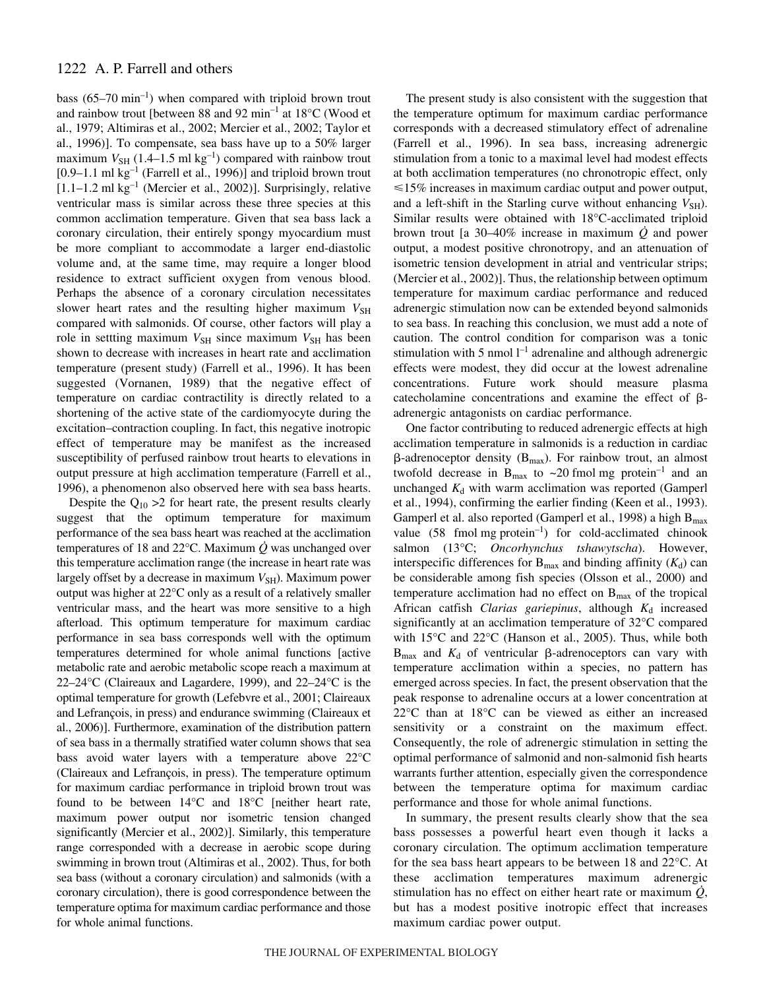# 1222 A. P. Farrell and others

bass  $(65-70 \text{ min}^{-1})$  when compared with triploid brown trout and rainbow trout [between 88 and 92  $\text{min}^{-1}$  at 18°C (Wood et al., 1979; Altimiras et al., 2002; Mercier et al., 2002; Taylor et al., 1996)]. To compensate, sea bass have up to a 50% larger maximum  $V_{SH}$  (1.4–1.5 ml kg<sup>-1</sup>) compared with rainbow trout  $[0.9-1.1 \text{ ml kg}^{-1}$  (Farrell et al., 1996)] and triploid brown trout  $[1.1–1.2 \text{ ml kg}^{-1}$  (Mercier et al., 2002)]. Surprisingly, relative ventricular mass is similar across these three species at this common acclimation temperature. Given that sea bass lack a coronary circulation, their entirely spongy myocardium must be more compliant to accommodate a larger end-diastolic volume and, at the same time, may require a longer blood residence to extract sufficient oxygen from venous blood. Perhaps the absence of a coronary circulation necessitates slower heart rates and the resulting higher maximum  $V_{\text{SH}}$ compared with salmonids. Of course, other factors will play a role in settting maximum  $V_{\text{SH}}$  since maximum  $V_{\text{SH}}$  has been shown to decrease with increases in heart rate and acclimation temperature (present study) (Farrell et al., 1996). It has been suggested (Vornanen, 1989) that the negative effect of temperature on cardiac contractility is directly related to a shortening of the active state of the cardiomyocyte during the excitation–contraction coupling. In fact, this negative inotropic effect of temperature may be manifest as the increased susceptibility of perfused rainbow trout hearts to elevations in output pressure at high acclimation temperature (Farrell et al., 1996), a phenomenon also observed here with sea bass hearts.

Despite the  $Q_{10} > 2$  for heart rate, the present results clearly suggest that the optimum temperature for maximum performance of the sea bass heart was reached at the acclimation temperatures of 18 and 22 $\degree$ C. Maximum  $\dot{Q}$  was unchanged over this temperature acclimation range (the increase in heart rate was largely offset by a decrease in maximum  $V_{\text{SH}}$ ). Maximum power output was higher at 22°C only as a result of a relatively smaller ventricular mass, and the heart was more sensitive to a high afterload. This optimum temperature for maximum cardiac performance in sea bass corresponds well with the optimum temperatures determined for whole animal functions [active metabolic rate and aerobic metabolic scope reach a maximum at 22–24°C (Claireaux and Lagardere, 1999), and 22–24°C is the optimal temperature for growth (Lefebvre et al., 2001; Claireaux and Lefrançois, in press) and endurance swimming (Claireaux et al., 2006)]. Furthermore, examination of the distribution pattern of sea bass in a thermally stratified water column shows that sea bass avoid water layers with a temperature above 22°C (Claireaux and Lefrançois, in press). The temperature optimum for maximum cardiac performance in triploid brown trout was found to be between 14°C and 18°C [neither heart rate, maximum power output nor isometric tension changed significantly (Mercier et al., 2002)]. Similarly, this temperature range corresponded with a decrease in aerobic scope during swimming in brown trout (Altimiras et al., 2002). Thus, for both sea bass (without a coronary circulation) and salmonids (with a coronary circulation), there is good correspondence between the temperature optima for maximum cardiac performance and those for whole animal functions.

The present study is also consistent with the suggestion that the temperature optimum for maximum cardiac performance corresponds with a decreased stimulatory effect of adrenaline (Farrell et al., 1996). In sea bass, increasing adrenergic stimulation from a tonic to a maximal level had modest effects at both acclimation temperatures (no chronotropic effect, only  $\leq 15\%$  increases in maximum cardiac output and power output, and a left-shift in the Starling curve without enhancing  $V_{\text{SH}}$ ). Similar results were obtained with 18°C-acclimated triploid brown trout [a  $30-40\%$  increase in maximum  $\dot{Q}$  and power output, a modest positive chronotropy, and an attenuation of isometric tension development in atrial and ventricular strips; (Mercier et al., 2002)]. Thus, the relationship between optimum temperature for maximum cardiac performance and reduced adrenergic stimulation now can be extended beyond salmonids to sea bass. In reaching this conclusion, we must add a note of caution. The control condition for comparison was a tonic stimulation with 5 nmol  $l^{-1}$  adrenaline and although adrenergic effects were modest, they did occur at the lowest adrenaline concentrations. Future work should measure plasma catecholamine concentrations and examine the effect of  $\beta$ adrenergic antagonists on cardiac performance.

One factor contributing to reduced adrenergic effects at high acclimation temperature in salmonids is a reduction in cardiac  $\beta$ -adrenoceptor density (B<sub>max</sub>). For rainbow trout, an almost twofold decrease in  $B_{\text{max}}$  to ~20 fmol mg protein<sup>-1</sup> and an unchanged  $K_d$  with warm acclimation was reported (Gamperl et al., 1994), confirming the earlier finding (Keen et al., 1993). Gamperl et al. also reported (Gamperl et al., 1998) a high  $B<sub>max</sub>$ value  $(58 \text{ fmol mg protein}^{-1})$  for cold-acclimated chinook salmon (13°C; *Oncorhynchus tshawytscha*). However, interspecific differences for  $B_{\text{max}}$  and binding affinity  $(K_d)$  can be considerable among fish species (Olsson et al., 2000) and temperature acclimation had no effect on  $B_{\text{max}}$  of the tropical African catfish *Clarias gariepinus*, although  $K_d$  increased significantly at an acclimation temperature of 32°C compared with 15°C and 22°C (Hanson et al., 2005). Thus, while both  $B_{\text{max}}$  and  $K_d$  of ventricular  $\beta$ -adrenoceptors can vary with temperature acclimation within a species, no pattern has emerged across species. In fact, the present observation that the peak response to adrenaline occurs at a lower concentration at 22°C than at 18°C can be viewed as either an increased sensitivity or a constraint on the maximum effect. Consequently, the role of adrenergic stimulation in setting the optimal performance of salmonid and non-salmonid fish hearts warrants further attention, especially given the correspondence between the temperature optima for maximum cardiac performance and those for whole animal functions.

In summary, the present results clearly show that the sea bass possesses a powerful heart even though it lacks a coronary circulation. The optimum acclimation temperature for the sea bass heart appears to be between 18 and 22°C. At these acclimation temperatures maximum adrenergic stimulation has no effect on either heart rate or maximum *Q*, but has a modest positive inotropic effect that increases maximum cardiac power output.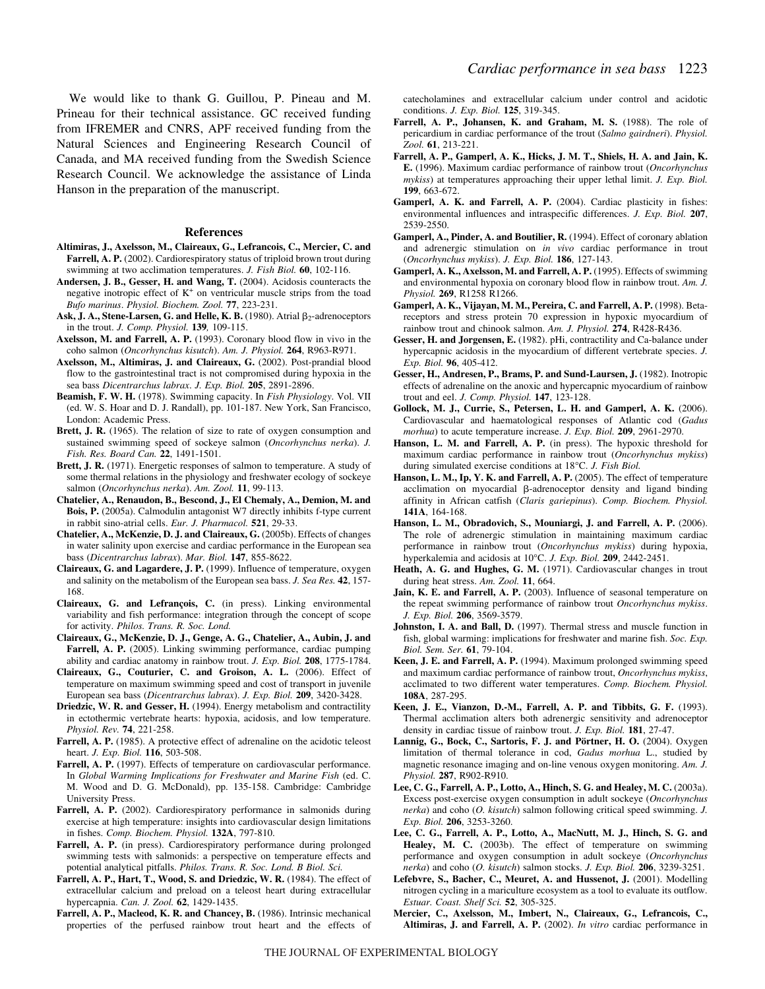Prineau for their technical assistance. GC received funding from IFREMER and CNRS, APF received funding from the Natural Sciences and Engineering Research Council of Canada, and MA received funding from the Swedish Science Research Council. We acknowledge the assistance of Linda Hanson in the preparation of the manuscript.

#### **References**

- **Altimiras, J., Axelsson, M., Claireaux, G., Lefrancois, C., Mercier, C. and Farrell, A. P.** (2002). Cardiorespiratory status of triploid brown trout during swimming at two acclimation temperatures. *J. Fish Biol.* **60**, 102-116.
- **Andersen, J. B., Gesser, H. and Wang, T.** (2004). Acidosis counteracts the negative inotropic effect of  $K^+$  on ventricular muscle strips from the toad *Bufo marinus*. *Physiol. Biochem. Zool.* **77**, 223-231.
- Ask, J. A., Stene-Larsen, G. and Helle, K. B. (1980). Atrial  $\beta_2$ -adrenoceptors in the trout. *J. Comp. Physiol.* **139***,* 109-115.
- **Axelsson, M. and Farrell, A. P.** (1993). Coronary blood flow in vivo in the coho salmon (*Oncorhynchus kisutch*). *Am. J. Physiol.* **264**, R963-R971.
- **Axelsson, M., Altimiras, J. and Claireaux, G.** (2002). Post-prandial blood flow to the gastrointestinal tract is not compromised during hypoxia in the sea bass *Dicentrarchus labrax*. *J. Exp. Biol.* **205**, 2891-2896.
- **Beamish, F. W. H.** (1978). Swimming capacity. In *Fish Physiology*. Vol. VII (ed. W. S. Hoar and D. J. Randall), pp. 101-187. New York, San Francisco, London: Academic Press.
- **Brett, J. R.** (1965). The relation of size to rate of oxygen consumption and sustained swimming speed of sockeye salmon (*Oncorhynchus nerka*). *J. Fish. Res. Board Can.* **22**, 1491-1501.
- **Brett, J. R.** (1971). Energetic responses of salmon to temperature. A study of some thermal relations in the physiology and freshwater ecology of sockeye salmon (*Oncorhynchus nerka*). *Am. Zool.* **11**, 99-113.
- **Chatelier, A., Renaudon, B., Bescond, J., El Chemaly, A., Demion, M. and Bois, P.** (2005a). Calmodulin antagonist W7 directly inhibits f-type current in rabbit sino-atrial cells. *Eur. J. Pharmacol.* **521**, 29-33.
- **Chatelier, A., McKenzie, D. J. and Claireaux, G.** (2005b). Effects of changes in water salinity upon exercise and cardiac performance in the European sea bass (*Dicentrarchus labrax*). *Mar. Biol.* **147**, 855-8622.
- **Claireaux, G. and Lagardere, J. P.** (1999). Influence of temperature, oxygen and salinity on the metabolism of the European sea bass. *J. Sea Res.* **42**, 157- 168.
- **Claireaux, G. and Lefrançois, C.** (in press). Linking environmental variability and fish performance: integration through the concept of scope for activity. *Philos. Trans. R. Soc. Lond.*
- **Claireaux, G., McKenzie, D. J., Genge, A. G., Chatelier, A., Aubin, J. and Farrell, A. P.** (2005). Linking swimming performance, cardiac pumping ability and cardiac anatomy in rainbow trout. *J. Exp. Biol.* **208**, 1775-1784.
- **Claireaux, G., Couturier, C. and Groison, A. L.** (2006). Effect of temperature on maximum swimming speed and cost of transport in juvenile European sea bass (*Dicentrarchus labrax*). *J. Exp. Biol.* **209**, 3420-3428.
- **Driedzic, W. R. and Gesser, H.** (1994). Energy metabolism and contractility in ectothermic vertebrate hearts: hypoxia, acidosis, and low temperature. *Physiol. Rev.* **74**, 221-258.
- Farrell, A. P. (1985). A protective effect of adrenaline on the acidotic teleost heart. *J. Exp. Biol.* **116**, 503-508.
- **Farrell, A. P.** (1997). Effects of temperature on cardiovascular performance. In *Global Warming Implications for Freshwater and Marine Fish* (ed. C. M. Wood and D. G. McDonald), pp. 135-158. Cambridge: Cambridge University Press.
- Farrell, A. P. (2002). Cardiorespiratory performance in salmonids during exercise at high temperature: insights into cardiovascular design limitations in fishes. *Comp. Biochem. Physiol.* **132A**, 797-810.
- **Farrell, A. P.** (in press). Cardiorespiratory performance during prolonged swimming tests with salmonids: a perspective on temperature effects and potential analytical pitfalls. *Philos. Trans. R. Soc. Lond. B Biol. Sci.*
- **Farrell, A. P., Hart, T., Wood, S. and Driedzic, W. R.** (1984). The effect of extracellular calcium and preload on a teleost heart during extracellular hypercapnia. *Can. J. Zool.* **62**, 1429-1435.
- **Farrell, A. P., Macleod, K. R. and Chancey, B.** (1986). Intrinsic mechanical properties of the perfused rainbow trout heart and the effects of

catecholamines and extracellular calcium under control and acidotic conditions. *J. Exp. Biol.* **125**, 319-345.

- **Farrell, A. P., Johansen, K. and Graham, M. S.** (1988). The role of pericardium in cardiac performance of the trout (*Salmo gairdneri*). *Physiol. Zool.* **61**, 213-221.
- **Farrell, A. P., Gamperl, A. K., Hicks, J. M. T., Shiels, H. A. and Jain, K. E.** (1996). Maximum cardiac performance of rainbow trout (*Oncorhynchus mykiss*) at temperatures approaching their upper lethal limit. *J. Exp. Biol.* **199**, 663-672.
- **Gamperl, A. K. and Farrell, A. P.** (2004). Cardiac plasticity in fishes: environmental influences and intraspecific differences. *J. Exp. Biol.* **207**, 2539-2550.
- **Gamperl, A., Pinder, A. and Boutilier, R.** (1994). Effect of coronary ablation and adrenergic stimulation on *in vivo* cardiac performance in trout (*Oncorhynchus mykiss*). *J. Exp. Biol.* **186**, 127-143.
- **Gamperl, A. K., Axelsson, M. and Farrell, A. P.** (1995). Effects of swimming and environmental hypoxia on coronary blood flow in rainbow trout. *Am. J. Physiol.* **269**, R1258 R1266.
- **Gamperl, A. K., Vijayan, M. M., Pereira, C. and Farrell, A. P.** (1998). Betareceptors and stress protein 70 expression in hypoxic myocardium of rainbow trout and chinook salmon. *Am. J. Physiol.* **274**, R428-R436.
- **Gesser, H. and Jorgensen, E.** (1982). pHi, contractility and Ca-balance under hypercapnic acidosis in the myocardium of different vertebrate species. *J. Exp. Biol.* **96**, 405-412.
- **Gesser, H., Andresen, P., Brams, P. and Sund-Laursen, J.** (1982). Inotropic effects of adrenaline on the anoxic and hypercapnic myocardium of rainbow trout and eel. *J. Comp. Physiol.* **147**, 123-128.
- **Gollock, M. J., Currie, S., Petersen, L. H. and Gamperl, A. K.** (2006). Cardiovascular and haematological responses of Atlantic cod (*Gadus morhua*) to acute temperature increase. *J. Exp. Biol.* **209**, 2961-2970.
- **Hanson, L. M. and Farrell, A. P.** (in press). The hypoxic threshold for maximum cardiac performance in rainbow trout (*Oncorhynchus mykiss*) during simulated exercise conditions at 18°C. *J. Fish Biol.*
- **Hanson, L. M., Ip, Y. K. and Farrell, A. P.** (2005). The effect of temperature acclimation on myocardial  $\beta$ -adrenoceptor density and ligand binding affinity in African catfish (*Claris gariepinus*). *Comp. Biochem. Physiol.* **141A**, 164-168.
- **Hanson, L. M., Obradovich, S., Mouniargi, J. and Farrell, A. P.** (2006). The role of adrenergic stimulation in maintaining maximum cardiac performance in rainbow trout (*Oncorhynchus mykiss*) during hypoxia, hyperkalemia and acidosis at 10°C. *J. Exp. Biol.* **209**, 2442-2451.
- **Heath, A. G. and Hughes, G. M.** (1971). Cardiovascular changes in trout during heat stress. *Am. Zool.* **11**, 664.
- **Jain, K. E. and Farrell, A. P.** (2003). Influence of seasonal temperature on the repeat swimming performance of rainbow trout *Oncorhynchus mykiss*. *J. Exp. Biol.* **206**, 3569-3579.
- **Johnston, I. A. and Ball, D.** (1997). Thermal stress and muscle function in fish, global warming: implications for freshwater and marine fish. *Soc. Exp. Biol. Sem. Ser.* **61**, 79-104.
- **Keen, J. E. and Farrell, A. P.** (1994). Maximum prolonged swimming speed and maximum cardiac performance of rainbow trout, *Oncorhynchus mykiss*, acclimated to two different water temperatures. *Comp. Biochem. Physiol.* **108A**, 287-295.
- **Keen, J. E., Vianzon, D.-M., Farrell, A. P. and Tibbits, G. F.** (1993). Thermal acclimation alters both adrenergic sensitivity and adrenoceptor density in cardiac tissue of rainbow trout. *J. Exp. Biol.* **181**, 27-47.
- **Lannig, G., Bock, C., Sartoris, F. J. and Pörtner, H. O.** (2004). Oxygen limitation of thermal tolerance in cod, *Gadus morhua* L., studied by magnetic resonance imaging and on-line venous oxygen monitoring. *Am. J. Physiol.* **287**, R902-R910.
- **Lee, C. G., Farrell, A. P., Lotto, A., Hinch, S. G. and Healey, M. C.** (2003a). Excess post-exercise oxygen consumption in adult sockeye (*Oncorhynchus nerka*) and coho (*O. kisutch*) salmon following critical speed swimming. *J. Exp. Biol.* **206**, 3253-3260.
- **Lee, C. G., Farrell, A. P., Lotto, A., MacNutt, M. J., Hinch, S. G. and Healey, M. C.** (2003b). The effect of temperature on swimming performance and oxygen consumption in adult sockeye (*Oncorhynchus nerka*) and coho (*O. kisutch*) salmon stocks. *J. Exp. Biol.* **206**, 3239-3251.
- **Lefebvre, S., Bacher, C., Meuret, A. and Hussenot, J.** (2001). Modelling nitrogen cycling in a mariculture ecosystem as a tool to evaluate its outflow. *Estuar. Coast. Shelf Sci.* **52**, 305-325.
- **Mercier, C., Axelsson, M., Imbert, N., Claireaux, G., Lefrancois, C., Altimiras, J. and Farrell, A. P.** (2002). *In vitro* cardiac performance in